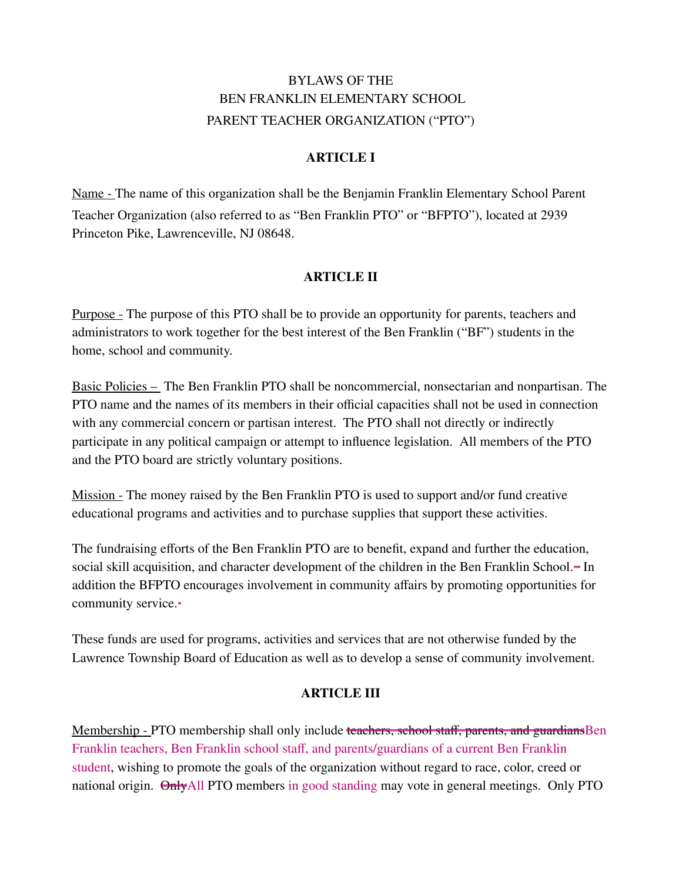# BYLAWS OF THE BEN FRANKLIN ELEMENTARY SCHOOL PARENT TEACHER ORGANIZATION ("PTO")

## **ARTICLE I**

Name - The name of this organization shall be the Benjamin Franklin Elementary School Parent Teacher Organization (also referred to as "Ben Franklin PTO" or "BFPTO"), located at 2939 Princeton Pike, Lawrenceville, NJ 08648.

## **ARTICLE II**

Purpose - The purpose of this PTO shall be to provide an opportunity for parents, teachers and administrators to work together for the best interest of the Ben Franklin ("BF") students in the home, school and community.

Basic Policies – The Ben Franklin PTO shall be noncommercial, nonsectarian and nonpartisan. The PTO name and the names of its members in their official capacities shall not be used in connection with any commercial concern or partisan interest. The PTO shall not directly or indirectly participate in any political campaign or attempt to influence legislation. All members of the PTO and the PTO board are strictly voluntary positions.

Mission - The money raised by the Ben Franklin PTO is used to support and/or fund creative educational programs and activities and to purchase supplies that support these activities.

The fundraising efforts of the Ben Franklin PTO are to benefit, expand and further the education, social skill acquisition, and character development of the children in the Ben Franklin School. In addition the BFPTO encourages involvement in community affairs by promoting opportunities for community service.

These funds are used for programs, activities and services that are not otherwise funded by the Lawrence Township Board of Education as well as to develop a sense of community involvement.

#### **ARTICLE III**

Membership - PTO membership shall only include teachers, school staff, parents, and guardiansBen Franklin teachers, Ben Franklin school staff, and parents/guardians of a current Ben Franklin student, wishing to promote the goals of the organization without regard to race, color, creed or national origin. OnlyAll PTO members in good standing may vote in general meetings. Only PTO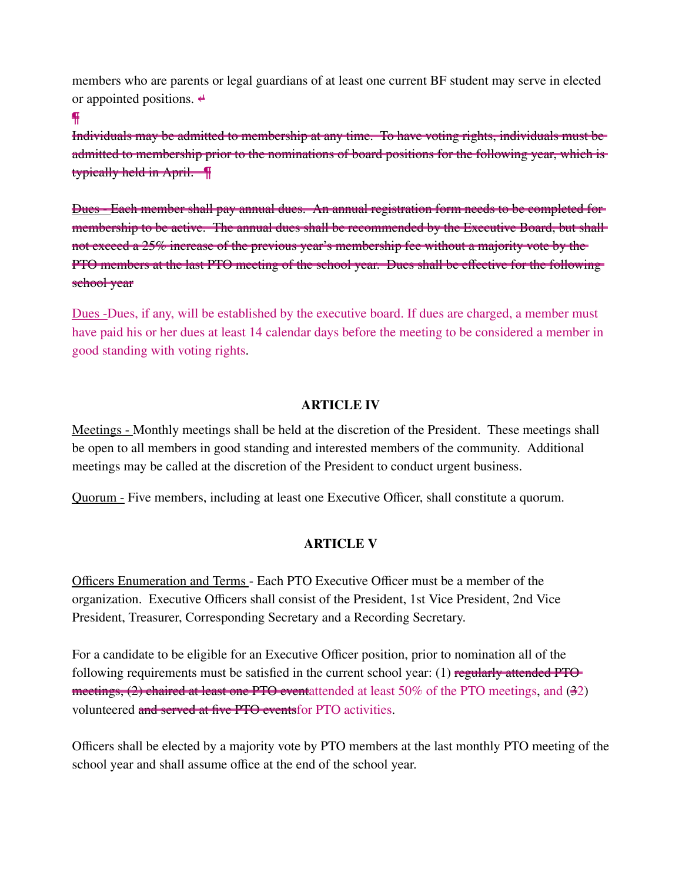members who are parents or legal guardians of at least one current BF student may serve in elected or appointed positions.  $\triangleleft$ 

#### ¶

Individuals may be admitted to membership at any time. To have voting rights, individuals must be admitted to membership prior to the nominations of board positions for the following year, which is typically held in April. ¶

Dues - Each member shall pay annual dues. An annual registration form needs to be completed for membership to be active. The annual dues shall be recommended by the Executive Board, but shall not exceed a 25% increase of the previous year's membership fee without a majority vote by the PTO members at the last PTO meeting of the school year. Dues shall be effective for the following school year

Dues -Dues, if any, will be established by the executive board. If dues are charged, a member must have paid his or her dues at least 14 calendar days before the meeting to be considered a member in good standing with voting rights.

#### **ARTICLE IV**

Meetings - Monthly meetings shall be held at the discretion of the President. These meetings shall be open to all members in good standing and interested members of the community. Additional meetings may be called at the discretion of the President to conduct urgent business.

Quorum - Five members, including at least one Executive Officer, shall constitute a quorum.

#### **ARTICLE V**

Officers Enumeration and Terms - Each PTO Executive Officer must be a member of the organization. Executive Officers shall consist of the President, 1st Vice President, 2nd Vice President, Treasurer, Corresponding Secretary and a Recording Secretary.

For a candidate to be eligible for an Executive Officer position, prior to nomination all of the following requirements must be satisfied in the current school year: (1) regularly attended PTO meetings, (2) chaired at least one PTO eventattended at least 50% of the PTO meetings, and (32) volunteered and served at five PTO eventsfor PTO activities.

Officers shall be elected by a majority vote by PTO members at the last monthly PTO meeting of the school year and shall assume office at the end of the school year.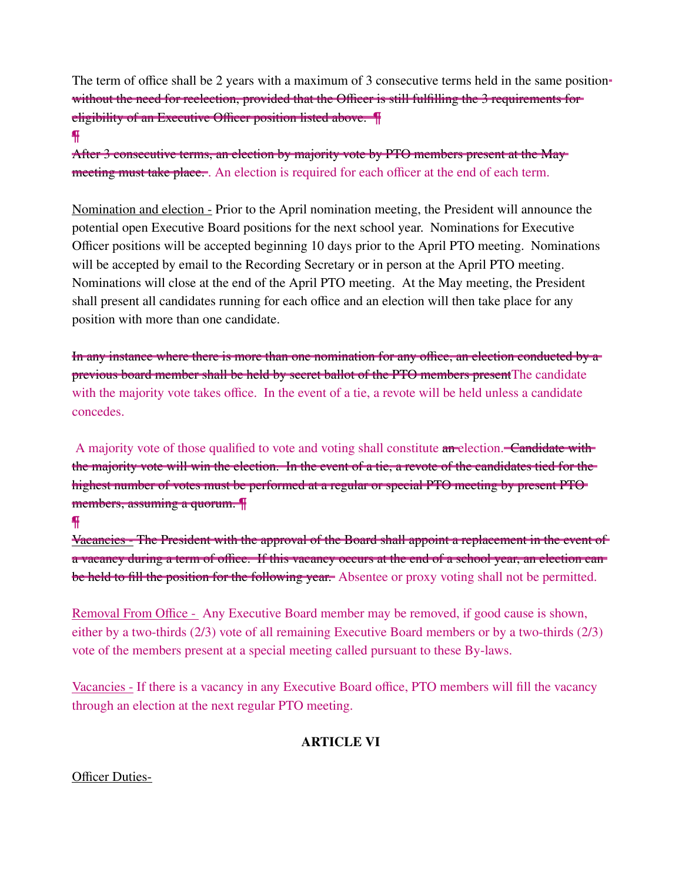The term of office shall be 2 years with a maximum of 3 consecutive terms held in the same position without the need for reelection, provided that the Officer is still fulfilling the 3 requirements for eligibility of an Executive Officer position listed above. ¶

#### ¶

After 3 consecutive terms, an election by majority vote by PTO members present at the May meeting must take place. An election is required for each officer at the end of each term.

Nomination and election - Prior to the April nomination meeting, the President will announce the potential open Executive Board positions for the next school year. Nominations for Executive Officer positions will be accepted beginning 10 days prior to the April PTO meeting. Nominations will be accepted by email to the Recording Secretary or in person at the April PTO meeting. Nominations will close at the end of the April PTO meeting. At the May meeting, the President shall present all candidates running for each office and an election will then take place for any position with more than one candidate.

In any instance where there is more than one nomination for any office, an election conducted by a previous board member shall be held by secret ballot of the PTO members presentThe candidate with the majority vote takes office. In the event of a tie, a revote will be held unless a candidate concedes.

A majority vote of those qualified to vote and voting shall constitute an election. Candidate with the majority vote will win the election. In the event of a tie, a revote of the candidates tied for the highest number of votes must be performed at a regular or special PTO meeting by present PTO members, assuming a quorum. ¶

#### ¶

Vacancies - The President with the approval of the Board shall appoint a replacement in the event of a vacancy during a term of office. If this vacancy occurs at the end of a school year, an election can be held to fill the position for the following year. Absentee or proxy voting shall not be permitted.

Removal From Office - Any Executive Board member may be removed, if good cause is shown, either by a two-thirds (2/3) vote of all remaining Executive Board members or by a two-thirds (2/3) vote of the members present at a special meeting called pursuant to these By-laws.

Vacancies - If there is a vacancy in any Executive Board office, PTO members will fill the vacancy through an election at the next regular PTO meeting.

# **ARTICLE VI**

#### Officer Duties-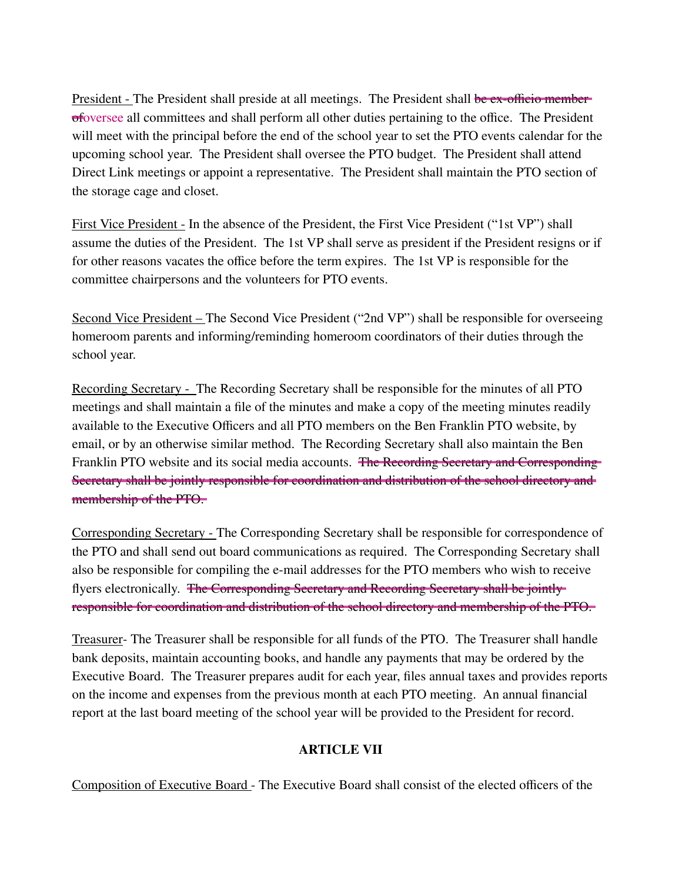President - The President shall preside at all meetings. The President shall be ex-officio memberofoversee all committees and shall perform all other duties pertaining to the office. The President will meet with the principal before the end of the school year to set the PTO events calendar for the upcoming school year. The President shall oversee the PTO budget. The President shall attend Direct Link meetings or appoint a representative. The President shall maintain the PTO section of the storage cage and closet.

First Vice President - In the absence of the President, the First Vice President ("1st VP") shall assume the duties of the President. The 1st VP shall serve as president if the President resigns or if for other reasons vacates the office before the term expires. The 1st VP is responsible for the committee chairpersons and the volunteers for PTO events.

Second Vice President – The Second Vice President ("2nd VP") shall be responsible for overseeing homeroom parents and informing/reminding homeroom coordinators of their duties through the school year.

Recording Secretary - The Recording Secretary shall be responsible for the minutes of all PTO meetings and shall maintain a file of the minutes and make a copy of the meeting minutes readily available to the Executive Officers and all PTO members on the Ben Franklin PTO website, by email, or by an otherwise similar method. The Recording Secretary shall also maintain the Ben Franklin PTO website and its social media accounts. The Recording Secretary and Corresponding Secretary shall be jointly responsible for coordination and distribution of the school directory and membership of the PTO.

Corresponding Secretary - The Corresponding Secretary shall be responsible for correspondence of the PTO and shall send out board communications as required. The Corresponding Secretary shall also be responsible for compiling the e-mail addresses for the PTO members who wish to receive flyers electronically. The Corresponding Secretary and Recording Secretary shall be jointly responsible for coordination and distribution of the school directory and membership of the PTO.

Treasurer- The Treasurer shall be responsible for all funds of the PTO. The Treasurer shall handle bank deposits, maintain accounting books, and handle any payments that may be ordered by the Executive Board. The Treasurer prepares audit for each year, files annual taxes and provides reports on the income and expenses from the previous month at each PTO meeting. An annual financial report at the last board meeting of the school year will be provided to the President for record.

# **ARTICLE VII**

Composition of Executive Board - The Executive Board shall consist of the elected officers of the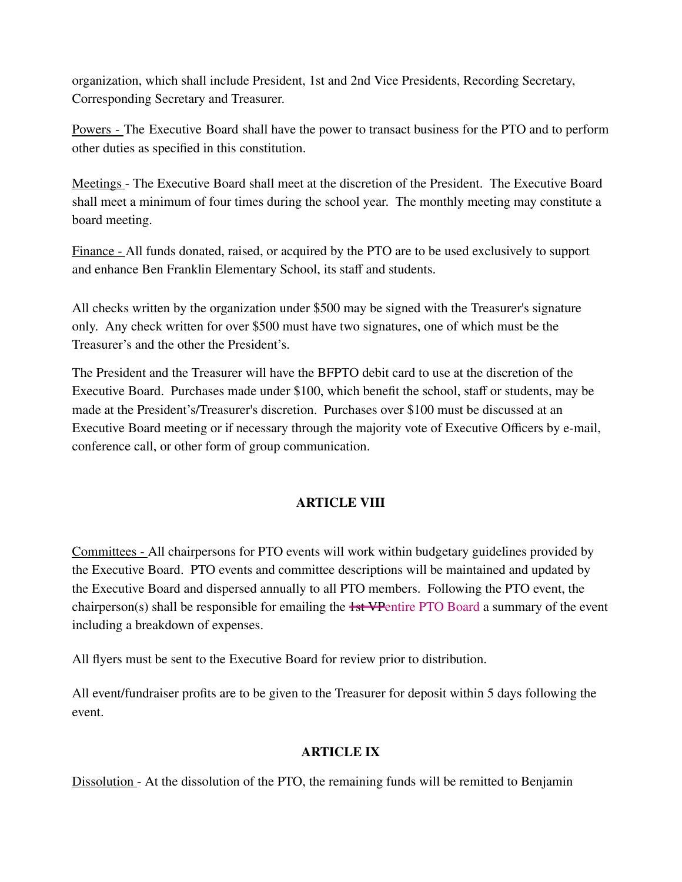organization, which shall include President, 1st and 2nd Vice Presidents, Recording Secretary, Corresponding Secretary and Treasurer.

Powers - The Executive Board shall have the power to transact business for the PTO and to perform other duties as specified in this constitution.

Meetings - The Executive Board shall meet at the discretion of the President. The Executive Board shall meet a minimum of four times during the school year. The monthly meeting may constitute a board meeting.

Finance - All funds donated, raised, or acquired by the PTO are to be used exclusively to support and enhance Ben Franklin Elementary School, its staff and students.

All checks written by the organization under \$500 may be signed with the Treasurer's signature only. Any check written for over \$500 must have two signatures, one of which must be the Treasurer's and the other the President's.

The President and the Treasurer will have the BFPTO debit card to use at the discretion of the Executive Board. Purchases made under \$100, which benefit the school, staff or students, may be made at the President's/Treasurer's discretion. Purchases over \$100 must be discussed at an Executive Board meeting or if necessary through the majority vote of Executive Officers by e-mail, conference call, or other form of group communication.

# **ARTICLE VIII**

Committees - All chairpersons for PTO events will work within budgetary guidelines provided by the Executive Board. PTO events and committee descriptions will be maintained and updated by the Executive Board and dispersed annually to all PTO members. Following the PTO event, the chairperson(s) shall be responsible for emailing the 1st VPentire PTO Board a summary of the event including a breakdown of expenses.

All flyers must be sent to the Executive Board for review prior to distribution.

All event/fundraiser profits are to be given to the Treasurer for deposit within 5 days following the event.

#### **ARTICLE IX**

Dissolution - At the dissolution of the PTO, the remaining funds will be remitted to Benjamin